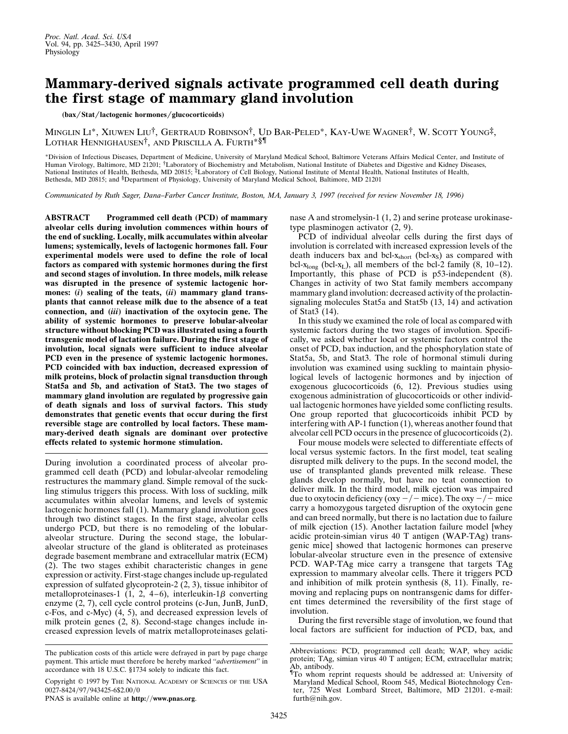## **Mammary-derived signals activate programmed cell death during the first stage of mammary gland involution**

**(bax**y**Stat**y**lactogenic hormones**y**glucocorticoids)**

MINGLIN LI\*, XIUWEN LIU†, GERTRAUD ROBINSON†, UD BAR-PELED\*, KAY-UWE WAGNER†, W. SCOTT YOUNG‡, LOTHAR HENNIGHAUSEN†, AND PRISCILLA A. FURTH\*§¶

\*Division of Infectious Diseases, Department of Medicine, University of Maryland Medical School, Baltimore Veterans Affairs Medical Center, and Institute of<br>Human Virology, Baltimore, MD 21201; †Laboratory of Biochemistry National Institutes of Health, Bethesda, MD 20815; ‡Laboratory of Cell Biology, National Institute of Mental Health, National Institutes of Health, Bethesda, MD 20815; and §Department of Physiology, University of Maryland Medical School, Baltimore, MD 21201

*Communicated by Ruth Sager, Dana–Farber Cancer Institute, Boston, MA, January 3, 1997 (received for review November 18, 1996)*

**ABSTRACT Programmed cell death (PCD) of mammary alveolar cells during involution commences within hours of the end of suckling. Locally, milk accumulates within alveolar lumens; systemically, levels of lactogenic hormones fall. Four experimental models were used to define the role of local factors as compared with systemic hormones during the first and second stages of involution. In three models, milk release was disrupted in the presence of systemic lactogenic hormones: (***i***) sealing of the teats, (***ii***) mammary gland transplants that cannot release milk due to the absence of a teat connection, and (***iii***) inactivation of the oxytocin gene. The ability of systemic hormones to preserve lobular-alveolar structure without blocking PCD was illustrated using a fourth transgenic model of lactation failure. During the first stage of involution, local signals were sufficient to induce alveolar PCD even in the presence of systemic lactogenic hormones. PCD coincided with bax induction, decreased expression of milk proteins, block of prolactin signal transduction through Stat5a and 5b, and activation of Stat3. The two stages of mammary gland involution are regulated by progressive gain of death signals and loss of survival factors. This study demonstrates that genetic events that occur during the first reversible stage are controlled by local factors. These mammary-derived death signals are dominant over protective effects related to systemic hormone stimulation.**

During involution a coordinated process of alveolar programmed cell death (PCD) and lobular-alveolar remodeling restructures the mammary gland. Simple removal of the suckling stimulus triggers this process. With loss of suckling, milk accumulates within alveolar lumens, and levels of systemic lactogenic hormones fall (1). Mammary gland involution goes through two distinct stages. In the first stage, alveolar cells undergo PCD, but there is no remodeling of the lobularalveolar structure. During the second stage, the lobularalveolar structure of the gland is obliterated as proteinases degrade basement membrane and extracellular matrix (ECM) (2). The two stages exhibit characteristic changes in gene expression or activity. First-stage changes include up-regulated expression of sulfated glycoprotein-2 (2, 3), tissue inhibitor of metalloproteinases-1 (1, 2, 4–6), interleukin-1 $\beta$  converting enzyme (2, 7), cell cycle control proteins (c-Jun, JunB, JunD, c-Fos, and c-Myc) (4, 5), and decreased expression levels of milk protein genes (2, 8). Second-stage changes include increased expression levels of matrix metalloproteinases gelati-

Copyright  $@$  1997 by The NATIONAL ACADEMY OF SCIENCES OF THE USA 0027-8424/97/943425-6\$2.00/0

PNAS is available online at **http://www.pnas.org**.

nase A and stromelysin-1 (1, 2) and serine protease urokinasetype plasminogen activator (2, 9).

PCD of individual alveolar cells during the first days of involution is correlated with increased expression levels of the death inducers bax and bcl-x<sub>short</sub> (bcl-x<sub>S</sub>) as compared with bcl- $x_{long}$  (bcl- $x_L$ ), all members of the bcl-2 family (8, 10–12). Importantly, this phase of PCD is p53-independent (8). Changes in activity of two Stat family members accompany mammary gland involution: decreased activity of the prolactinsignaling molecules Stat5a and Stat5b (13, 14) and activation of Stat3 (14).

In this study we examined the role of local as compared with systemic factors during the two stages of involution. Specifically, we asked whether local or systemic factors control the onset of PCD, bax induction, and the phosphorylation state of Stat5a, 5b, and Stat3. The role of hormonal stimuli during involution was examined using suckling to maintain physiological levels of lactogenic hormones and by injection of exogenous glucocorticoids (6, 12). Previous studies using exogenous administration of glucocorticoids or other individual lactogenic hormones have yielded some conflicting results. One group reported that glucocorticoids inhibit PCD by interfering with AP-1 function (1), whereas another found that alveolar cell PCD occurs in the presence of glucocorticoids (2).

Four mouse models were selected to differentiate effects of local versus systemic factors. In the first model, teat sealing disrupted milk delivery to the pups. In the second model, the use of transplanted glands prevented milk release. These glands develop normally, but have no teat connection to deliver milk. In the third model, milk ejection was impaired due to oxytocin deficiency (oxy  $-/-$  mice). The oxy  $-/-$  mice carry a homozygous targeted disruption of the oxytocin gene and can breed normally, but there is no lactation due to failure of milk ejection (15). Another lactation failure model [whey acidic protein-simian virus 40 T antigen (WAP-TAg) transgenic mice] showed that lactogenic hormones can preserve lobular-alveolar structure even in the presence of extensive PCD. WAP-TAg mice carry a transgene that targets TAg expression to mammary alveolar cells. There it triggers PCD and inhibition of milk protein synthesis (8, 11). Finally, removing and replacing pups on nontransgenic dams for different times determined the reversibility of the first stage of involution.

During the first reversible stage of involution, we found that local factors are sufficient for induction of PCD, bax, and

The publication costs of this article were defrayed in part by page charge payment. This article must therefore be hereby marked ''*advertisement*'' in accordance with 18 U.S.C. §1734 solely to indicate this fact.

Abbreviations: PCD, programmed cell death; WAP, whey acidic protein; TAg, simian virus 40 T antigen; ECM, extracellular matrix; Ab, antibody. ¶To whom reprint requests should be addressed at: University of

Maryland Medical School, Room 545, Medical Biotechnology Center, 725 West Lombard Street, Baltimore, MD 21201. e-mail: furth@nih.gov.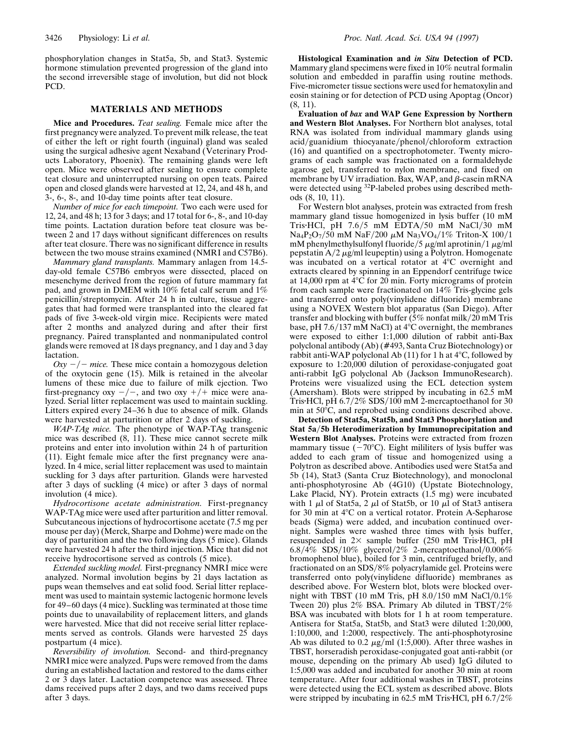phosphorylation changes in Stat5a, 5b, and Stat3. Systemic hormone stimulation prevented progression of the gland into the second irreversible stage of involution, but did not block PCD.

## **MATERIALS AND METHODS**

**Mice and Procedures.** *Teat sealing.* Female mice after the first pregnancy were analyzed. To prevent milk release, the teat of either the left or right fourth (inguinal) gland was sealed using the surgical adhesive agent Nexaband (Veterinary Products Laboratory, Phoenix). The remaining glands were left open. Mice were observed after sealing to ensure complete teat closure and uninterrupted nursing on open teats. Paired open and closed glands were harvested at 12, 24, and 48 h, and 3-, 6-, 8-, and 10-day time points after teat closure.

*Number of mice for each timepoint.* Two each were used for 12, 24, and 48 h; 13 for 3 days; and 17 total for 6-, 8-, and 10-day time points. Lactation duration before teat closure was between 2 and 17 days without significant differences on results after teat closure. There was no significant difference in results between the two mouse strains examined (NMRI and C57B6).

*Mammary gland transplants.* Mammary anlagen from 14.5 day-old female C57B6 embryos were dissected, placed on mesenchyme derived from the region of future mammary fat pad, and grown in DMEM with 10% fetal calf serum and 1% penicillin/streptomycin. After 24 h in culture, tissue aggregates that had formed were transplanted into the cleared fat pads of five 3-week-old virgin mice. Recipients were mated after 2 months and analyzed during and after their first pregnancy. Paired transplanted and nonmanipulated control glands were removed at 18 days pregnancy, and 1 day and 3 day lactation.

 $Oxy - / -$  mice. These mice contain a homozygous deletion of the oxytocin gene (15). Milk is retained in the alveolar lumens of these mice due to failure of milk ejection. Two first-pregnancy oxy  $-\prime$ , and two oxy  $+\prime$  mice were analyzed. Serial litter replacement was used to maintain suckling. Litters expired every 24–36 h due to absence of milk. Glands were harvested at parturition or after 2 days of suckling.

*WAP-TAg mice.* The phenotype of WAP-TAg transgenic mice was described (8, 11). These mice cannot secrete milk proteins and enter into involution within 24 h of parturition (11). Eight female mice after the first pregnancy were analyzed. In 4 mice, serial litter replacement was used to maintain suckling for 3 days after parturition. Glands were harvested after 3 days of suckling (4 mice) or after 3 days of normal involution (4 mice).

*Hydrocortisone acetate administration.* First-pregnancy WAP-TAg mice were used after parturition and litter removal. Subcutaneous injections of hydrocortisone acetate (7.5 mg per mouse per day) (Merck, Sharpe and Dohme) were made on the day of parturition and the two following days (5 mice). Glands were harvested 24 h after the third injection. Mice that did not receive hydrocortisone served as controls (5 mice).

*Extended suckling model.* First-pregnancy NMRI mice were analyzed. Normal involution begins by 21 days lactation as pups wean themselves and eat solid food. Serial litter replacement was used to maintain systemic lactogenic hormone levels for 49–60 days (4 mice). Suckling was terminated at those time points due to unavailability of replacement litters, and glands were harvested. Mice that did not receive serial litter replacements served as controls. Glands were harvested 25 days postpartum (4 mice).

*Reversibility of involution.* Second- and third-pregnancy NMRI mice were analyzed. Pups were removed from the dams during an established lactation and restored to the dams either 2 or 3 days later. Lactation competence was assessed. Three dams received pups after 2 days, and two dams received pups after 3 days.

**Histological Examination and** *in Situ* **Detection of PCD.** Mammary gland specimens were fixed in 10% neutral formalin solution and embedded in paraffin using routine methods. Five-micrometer tissue sections were used for hematoxylin and eosin staining or for detection of PCD using Apoptag (Oncor) (8, 11).

**Evaluation of** *bax* **and WAP Gene Expression by Northern and Western Blot Analyses.** For Northern blot analyses, total RNA was isolated from individual mammary glands using acid/guanidium thiocyanate/phenol/chloroform extraction (16) and quantified on a spectrophotometer. Twenty micrograms of each sample was fractionated on a formaldehyde agarose gel, transferred to nylon membrane, and fixed on membrane by UV irradiation. Bax, WAP, and  $\beta$ -casein mRNA were detected using 32P-labeled probes using described methods (8, 10, 11).

For Western blot analyses, protein was extracted from fresh mammary gland tissue homogenized in lysis buffer (10 mM Tris $HCl$ , pH 7.6/5 mM EDTA/50 mM NaCl/30 mM  $Na_4P_2O_7/50$  mM NaF/200  $\mu$ M Na<sub>3</sub>VO<sub>4</sub>/1% Triton-X 100/1 mM phenylmethylsulfonyl fluoride/5  $\mu$ g/ml aprotinin/1  $\mu$ g/ml pepstatin  $A/2 \mu g/ml$  leupeptin) using a Polytron. Homogenate was incubated on a vertical rotator at  $4^{\circ}$ C overnight and extracts cleared by spinning in an Eppendorf centrifuge twice at  $14,000$  rpm at  $4^{\circ}$ C for 20 min. Forty micrograms of protein from each sample were fractionated on 14% Tris-glycine gels and transferred onto poly(vinylidene difluoride) membrane using a NOVEX Western blot apparatus (San Diego). After transfer and blocking with buffer  $(5\%$  nonfat milk/20 mM Tris base, pH  $7.6/137$  mM NaCl) at  $4^{\circ}$ C overnight, the membranes were exposed to either 1:1,000 dilution of rabbit anti-Bax polyclonal antibody (Ab) (#493, Santa Cruz Biotechnology) or rabbit anti-WAP polyclonal Ab  $(11)$  for 1 h at  $4^{\circ}$ C, followed by exposure to 1:20,000 dilution of peroxidase-conjugated goat anti-rabbit IgG polyclonal Ab (Jackson ImmunoResearch). Proteins were visualized using the ECL detection system (Amersham). Blots were stripped by incubating in 62.5 mM Tris•HCl, pH  $6.7/2\%$  SDS/100 mM 2-mercaptoethanol for 30 min at 50°C, and reprobed using conditions described above.

**Detection of Stat5a, Stat5b, and Stat3 Phosphorylation and Stat 5a/5b Heterodimerization by Immunoprecipitation and Western Blot Analyses.** Proteins were extracted from frozen mammary tissue  $(-70^{\circ}C)$ . Eight mililiters of lysis buffer was added to each gram of tissue and homogenized using a Polytron as described above. Antibodies used were Stat5a and 5b (14), Stat3 (Santa Cruz Biotechnology), and monoclonal anti-phosphotyrosine Ab (4G10) (Upstate Biotechnology, Lake Placid, NY). Protein extracts (1.5 mg) were incubated with 1  $\mu$ l of Stat5a, 2  $\mu$ l of Stat5b, or 10  $\mu$ l of Stat3 antisera for 30 min at  $4^{\circ}$ C on a vertical rotator. Protein A-Sepharose beads (Sigma) were added, and incubation continued overnight. Samples were washed three times with lysis buffer, resuspended in  $2 \times$  sample buffer (250 mM Tris $\textrm{-}$ HCl, pH  $6.8/4\%$  SDS/10% glycerol/2% 2-mercaptoethanol/0.006% bromophenol blue), boiled for 3 min, centrifuged briefly, and fractionated on an SDS/8% polyacrylamide gel. Proteins were transferred onto poly(vinylidene difluoride) membranes as described above. For Western blot, blots were blocked overnight with TBST (10 mM Tris, pH  $8.0/150$  mM NaCl/0.1% Tween 20) plus  $2\%$  BSA. Primary Ab diluted in TBST/2% BSA was incubated with blots for 1 h at room temperature. Antisera for Stat5a, Stat5b, and Stat3 were diluted 1:20,000, 1:10,000, and 1:2000, respectively. The anti-phosphotyrosine Ab was diluted to 0.2  $\mu$ g/ml (1:5,000). After three washes in TBST, horseradish peroxidase-conjugated goat anti-rabbit (or mouse, depending on the primary Ab used) IgG diluted to 1:5,000 was added and incubated for another 30 min at room temperature. After four additional washes in TBST, proteins were detected using the ECL system as described above. Blots were stripped by incubating in  $62.5$  mM Tris HCl, pH  $6.7/2\%$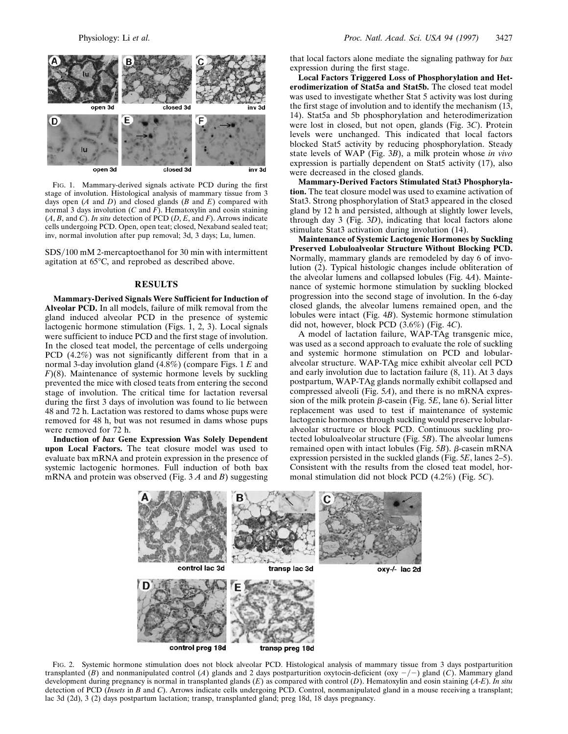

FIG. 1. Mammary-derived signals activate PCD during the first stage of involution. Histological analysis of mammary tissue from 3 days open (*A* and *D*) and closed glands (*B* and *E*) compared with normal 3 days involution (*C* and *F*). Hematoxylin and eosin staining  $(A, B, \text{ and } C)$ . *In situ* detection of PCD  $(D, E, \text{ and } F)$ . Arrows indicate cells undergoing PCD. Open, open teat; closed, Nexaband sealed teat; inv, normal involution after pup removal; 3d, 3 days; Lu, lumen.

SDS/100 mM 2-mercaptoethanol for 30 min with intermittent agitation at  $65^{\circ}$ C, and reprobed as described above.

## **RESULTS**

**Mammary-Derived Signals Were Sufficient for Induction of Alveolar PCD.** In all models, failure of milk removal from the gland induced alveolar PCD in the presence of systemic lactogenic hormone stimulation (Figs. 1, 2, 3). Local signals were sufficient to induce PCD and the first stage of involution. In the closed teat model, the percentage of cells undergoing PCD (4.2%) was not significantly different from that in a normal 3-day involution gland (4.8%) (compare Figs. 1 *E* and *F*)(8). Maintenance of systemic hormone levels by suckling prevented the mice with closed teats from entering the second stage of involution. The critical time for lactation reversal during the first 3 days of involution was found to lie between 48 and 72 h. Lactation was restored to dams whose pups were removed for 48 h, but was not resumed in dams whose pups were removed for 72 h.

**Induction of** *bax* **Gene Expression Was Solely Dependent upon Local Factors.** The teat closure model was used to evaluate bax mRNA and protein expression in the presence of systemic lactogenic hormones. Full induction of both bax mRNA and protein was observed (Fig. 3 *A* and *B*) suggesting that local factors alone mediate the signaling pathway for *bax* expression during the first stage.

**Local Factors Triggered Loss of Phosphorylation and Heterodimerization of Stat5a and Stat5b.** The closed teat model was used to investigate whether Stat 5 activity was lost during the first stage of involution and to identify the mechanism (13, 14). Stat5a and 5b phosphorylation and heterodimerization were lost in closed, but not open, glands (Fig. 3*C*). Protein levels were unchanged. This indicated that local factors blocked Stat5 activity by reducing phosphorylation. Steady state levels of WAP (Fig. 3*B*), a milk protein whose *in vivo* expression is partially dependent on Stat5 activity (17), also were decreased in the closed glands.

**Mammary-Derived Factors Stimulated Stat3 Phosphorylation.** The teat closure model was used to examine activation of Stat3. Strong phosphorylation of Stat3 appeared in the closed gland by 12 h and persisted, although at slightly lower levels, through day 3 (Fig. 3*D*), indicating that local factors alone stimulate Stat3 activation during involution (14).

**Maintenance of Systemic Lactogenic Hormones by Suckling Preserved Lobuloalveolar Structure Without Blocking PCD.** Normally, mammary glands are remodeled by day 6 of involution (2). Typical histologic changes include obliteration of the alveolar lumens and collapsed lobules (Fig. 4*A*). Maintenance of systemic hormone stimulation by suckling blocked progression into the second stage of involution. In the 6-day closed glands, the alveolar lumens remained open, and the lobules were intact (Fig. 4*B*). Systemic hormone stimulation did not, however, block PCD (3.6%) (Fig. 4*C*).

A model of lactation failure, WAP-TAg transgenic mice, was used as a second approach to evaluate the role of suckling and systemic hormone stimulation on PCD and lobularalveolar structure. WAP-TAg mice exhibit alveolar cell PCD and early involution due to lactation failure (8, 11). At 3 days postpartum, WAP-TAg glands normally exhibit collapsed and compressed alveoli (Fig. 5*A*), and there is no mRNA expression of the milk protein  $\beta$ -casein (Fig. 5*E*, lane 6). Serial litter replacement was used to test if maintenance of systemic lactogenic hormones through suckling would preserve lobularalveolar structure or block PCD. Continuous suckling protected lobuloalveolar structure (Fig. 5*B*). The alveolar lumens remained open with intact lobules (Fig.  $5B$ ).  $\beta$ -casein mRNA expression persisted in the suckled glands (Fig. 5*E*, lanes 2–5). Consistent with the results from the closed teat model, hormonal stimulation did not block PCD (4.2%) (Fig. 5*C*).



FIG. 2. Systemic hormone stimulation does not block alveolar PCD. Histological analysis of mammary tissue from 3 days postparturition transplanted (*B*) and nonmanipulated control (*A*) glands and 2 days postparturition oxytocin-deficient (oxy  $-/-$ ) gland (*C*). Mammary gland development during pregnancy is normal in transplanted glands (*E*) as compared with control (*D*). Hematoxylin and eosin staining (*A*-*E*). *In situ* detection of PCD (*Insets* in *B* and *C*). Arrows indicate cells undergoing PCD. Control, nonmanipulated gland in a mouse receiving a transplant; lac 3d (2d), 3 (2) days postpartum lactation; transp, transplanted gland; preg 18d, 18 days pregnancy.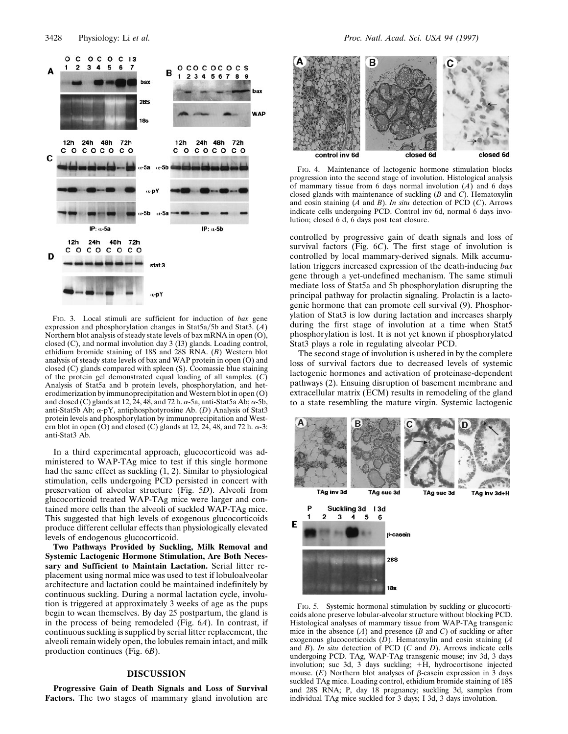

FIG. 3. Local stimuli are sufficient for induction of *bax* gene expression and phosphorylation changes in Stat5a/5b and Stat3.  $(A)$ Northern blot analysis of steady state levels of bax mRNA in open (O), closed (C), and normal involution day 3 (I3) glands. Loading control, ethidium bromide staining of 18S and 28S RNA. (*B*) Western blot analysis of steady state levels of bax and WAP protein in open (O) and closed (C) glands compared with spleen (S). Coomassie blue staining of the protein gel demonstrated equal loading of all samples. (*C*) Analysis of Stat5a and b protein levels, phosphorylation, and heterodimerization by immunoprecipitation and Western blot in open (O) and closed (C) glands at 12, 24, 48, and 72 h.  $\alpha$ -5a, anti-Stat5a Ab;  $\alpha$ -5b, anti-Stat5b Ab; <sup>a</sup>-pY, antiphosphotyrosine Ab. (*D*) Analysis of Stat3 protein levels and phosphorylation by immunoprecipitation and Western blot in open (O) and closed (C) glands at 12, 24, 48, and 72 h.  $\alpha$ -3: anti-Stat3 Ab.

In a third experimental approach, glucocorticoid was administered to WAP-TAg mice to test if this single hormone had the same effect as suckling (1, 2). Similar to physiological stimulation, cells undergoing PCD persisted in concert with preservation of alveolar structure (Fig. 5*D*). Alveoli from glucocorticoid treated WAP-TAg mice were larger and contained more cells than the alveoli of suckled WAP-TAg mice. This suggested that high levels of exogenous glucocorticoids produce different cellular effects than physiologically elevated levels of endogenous glucocorticoid.

**Two Pathways Provided by Suckling, Milk Removal and Systemic Lactogenic Hormone Stimulation, Are Both Necessary and Sufficient to Maintain Lactation.** Serial litter replacement using normal mice was used to test if lobuloalveolar architecture and lactation could be maintained indefinitely by continuous suckling. During a normal lactation cycle, involution is triggered at approximately 3 weeks of age as the pups begin to wean themselves. By day 25 postpartum, the gland is in the process of being remodeled (Fig. 6*A*). In contrast, if continuous suckling is supplied by serial litter replacement, the alveoli remain widely open, the lobules remain intact, and milk production continues (Fig. 6*B*).

## **DISCUSSION**

**Progressive Gain of Death Signals and Loss of Survival Factors.** The two stages of mammary gland involution are



FIG. 4. Maintenance of lactogenic hormone stimulation blocks progression into the second stage of involution. Histological analysis of mammary tissue from 6 days normal involution (*A*) and 6 days closed glands with maintenance of suckling (*B* and *C*). Hematoxylin and eosin staining (*A* and *B*). *In situ* detection of PCD (*C*). Arrows indicate cells undergoing PCD. Control inv 6d, normal 6 days involution; closed 6 d, 6 days post teat closure.

controlled by progressive gain of death signals and loss of survival factors (Fig. 6*C*). The first stage of involution is controlled by local mammary-derived signals. Milk accumulation triggers increased expression of the death-inducing *bax* gene through a yet-undefined mechanism. The same stimuli mediate loss of Stat5a and 5b phosphorylation disrupting the principal pathway for prolactin signaling. Prolactin is a lactogenic hormone that can promote cell survival (9). Phosphorylation of Stat3 is low during lactation and increases sharply during the first stage of involution at a time when Stat5 phosphorylation is lost. It is not yet known if phosphorylated Stat3 plays a role in regulating alveolar PCD.

The second stage of involution is ushered in by the complete loss of survival factors due to decreased levels of systemic lactogenic hormones and activation of proteinase-dependent pathways (2). Ensuing disruption of basement membrane and extracellular matrix (ECM) results in remodeling of the gland to a state resembling the mature virgin. Systemic lactogenic



FIG. 5. Systemic hormonal stimulation by suckling or glucocorticoids alone preserve lobular-alveolar structure without blocking PCD. Histological analyses of mammary tissue from WAP-TAg transgenic mice in the absence (*A*) and presence (*B* and *C*) of suckling or after exogenous glucocorticoids (*D*). Hematoxylin and eosin staining (*A* and *B*). *In situ* detection of PCD (*C* and *D*). Arrows indicate cells undergoing PCD. TAg, WAP-TAg transgenic mouse; inv 3d, 3 days involution; suc 3d, 3 days suckling; +H, hydrocortisone injected mouse.  $(E)$  Northern blot analyses of  $\beta$ -casein expression in 3 days suckled TAg mice. Loading control, ethidium bromide staining of 18S and 28S RNA; P, day 18 pregnancy; suckling 3d, samples from individual TAg mice suckled for 3 days; I 3d, 3 days involution.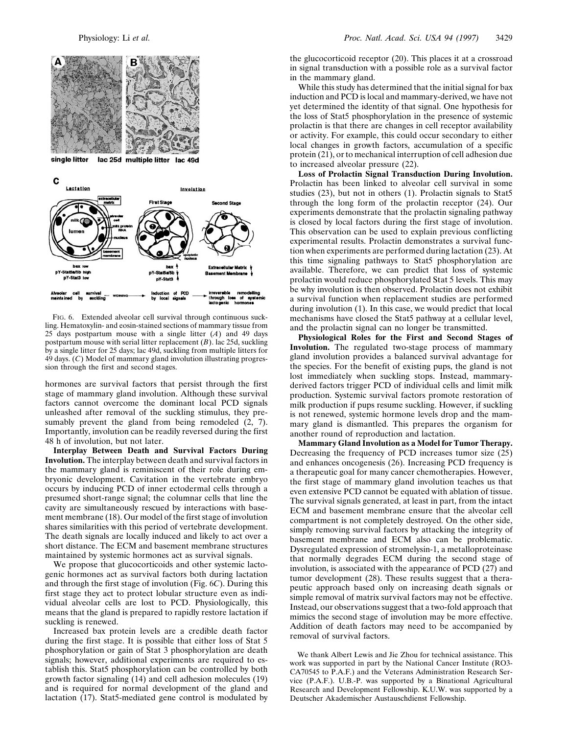

single litter lac 25d multiple litter lac 49d



FIG. 6. Extended alveolar cell survival through continuous suckling. Hematoxylin- and eosin-stained sections of mammary tissue from 25 days postpartum mouse with a single litter (*A*) and 49 days postpartum mouse with serial litter replacement (*B*). lac 25d, suckling by a single litter for 25 days; lac 49d, suckling from multiple litters for 49 days. (*C*) Model of mammary gland involution illustrating progression through the first and second stages.

hormones are survival factors that persist through the first stage of mammary gland involution. Although these survival factors cannot overcome the dominant local PCD signals unleashed after removal of the suckling stimulus, they presumably prevent the gland from being remodeled  $(2, 7)$ . Importantly, involution can be readily reversed during the first 48 h of involution, but not later.

**Interplay Between Death and Survival Factors During Involution.** The interplay between death and survival factors in the mammary gland is reminiscent of their role during embryonic development. Cavitation in the vertebrate embryo occurs by inducing PCD of inner ectodermal cells through a presumed short-range signal; the columnar cells that line the cavity are simultaneously rescued by interactions with basement membrane (18). Our model of the first stage of involution shares similarities with this period of vertebrate development. The death signals are locally induced and likely to act over a short distance. The ECM and basement membrane structures maintained by systemic hormones act as survival signals.

We propose that glucocorticoids and other systemic lactogenic hormones act as survival factors both during lactation and through the first stage of involution (Fig. 6*C*). During this first stage they act to protect lobular structure even as individual alveolar cells are lost to PCD. Physiologically, this means that the gland is prepared to rapidly restore lactation if suckling is renewed.

Increased bax protein levels are a credible death factor during the first stage. It is possible that either loss of Stat 5 phosphorylation or gain of Stat 3 phosphorylation are death signals; however, additional experiments are required to establish this. Stat5 phosphorylation can be controlled by both growth factor signaling (14) and cell adhesion molecules (19) and is required for normal development of the gland and lactation (17). Stat5-mediated gene control is modulated by

the glucocorticoid receptor (20). This places it at a crossroad in signal transduction with a possible role as a survival factor in the mammary gland.

While this study has determined that the initial signal for bax induction and PCD is local and mammary-derived, we have not yet determined the identity of that signal. One hypothesis for the loss of Stat5 phosphorylation in the presence of systemic prolactin is that there are changes in cell receptor availability or activity. For example, this could occur secondary to either local changes in growth factors, accumulation of a specific protein (21), or to mechanical interruption of cell adhesion due to increased alveolar pressure (22).

**Loss of Prolactin Signal Transduction During Involution.** Prolactin has been linked to alveolar cell survival in some studies (23), but not in others (1). Prolactin signals to Stat5 through the long form of the prolactin receptor (24). Our experiments demonstrate that the prolactin signaling pathway is closed by local factors during the first stage of involution. This observation can be used to explain previous conflicting experimental results. Prolactin demonstrates a survival function when experiments are performed during lactation (23). At this time signaling pathways to Stat5 phosphorylation are available. Therefore, we can predict that loss of systemic prolactin would reduce phosphorylated Stat 5 levels. This may be why involution is then observed. Prolactin does not exhibit a survival function when replacement studies are performed during involution (1). In this case, we would predict that local mechanisms have closed the Stat5 pathway at a cellular level, and the prolactin signal can no longer be transmitted.

**Physiological Roles for the First and Second Stages of Involution.** The regulated two-stage process of mammary gland involution provides a balanced survival advantage for the species. For the benefit of existing pups, the gland is not lost immediately when suckling stops. Instead, mammaryderived factors trigger PCD of individual cells and limit milk production. Systemic survival factors promote restoration of milk production if pups resume suckling. However, if suckling is not renewed, systemic hormone levels drop and the mammary gland is dismantled. This prepares the organism for another round of reproduction and lactation.

**Mammary Gland Involution as a Model for Tumor Therapy.** Decreasing the frequency of PCD increases tumor size (25) and enhances oncogenesis (26). Increasing PCD frequency is a therapeutic goal for many cancer chemotherapies. However, the first stage of mammary gland involution teaches us that even extensive PCD cannot be equated with ablation of tissue. The survival signals generated, at least in part, from the intact ECM and basement membrane ensure that the alveolar cell compartment is not completely destroyed. On the other side, simply removing survival factors by attacking the integrity of basement membrane and ECM also can be problematic. Dysregulated expression of stromelysin-1, a metalloproteinase that normally degrades ECM during the second stage of involution, is associated with the appearance of PCD (27) and tumor development (28). These results suggest that a therapeutic approach based only on increasing death signals or simple removal of matrix survival factors may not be effective. Instead, our observations suggest that a two-fold approach that mimics the second stage of involution may be more effective. Addition of death factors may need to be accompanied by removal of survival factors.

We thank Albert Lewis and Jie Zhou for technical assistance. This work was supported in part by the National Cancer Institute (RO3- CA70545 to P.A.F.) and the Veterans Administration Research Service (P.A.F.). U.B.-P. was supported by a Binational Agricultural Research and Development Fellowship. K.U.W. was supported by a Deutscher Akademischer Austauschdienst Fellowship.